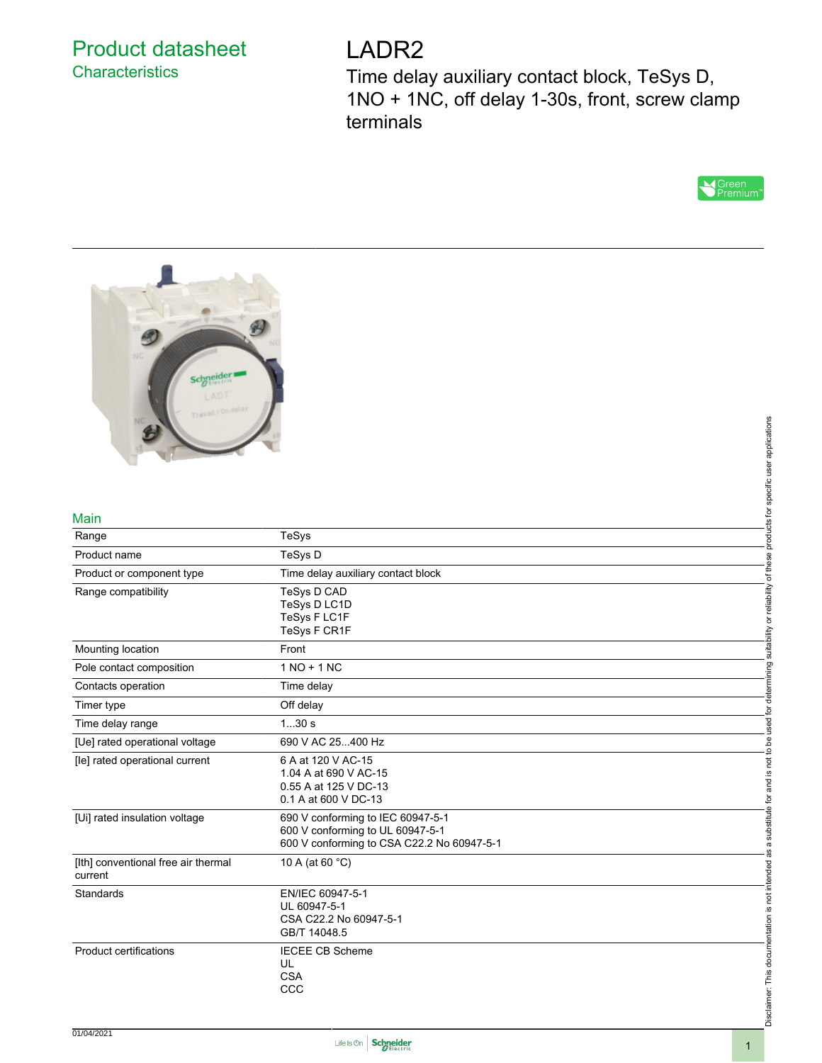## Product datasheet **Characteristics**

# LADR2

Time delay auxiliary contact block, TeSys D, 1NO + 1NC, off delay 1-30s, front, screw clamp terminals





#### Main

|                                                |                                                                                                                     | applications                                   |
|------------------------------------------------|---------------------------------------------------------------------------------------------------------------------|------------------------------------------------|
|                                                |                                                                                                                     | specific user                                  |
| Main                                           |                                                                                                                     | products for                                   |
| Range                                          | <b>TeSys</b>                                                                                                        |                                                |
| Product name                                   | TeSys D                                                                                                             |                                                |
| Product or component type                      | Time delay auxiliary contact block                                                                                  | of these                                       |
| Range compatibility                            | TeSys D CAD<br>TeSys D LC1D<br>TeSys F LC1F<br>TeSys F CR1F                                                         | suitability or reliability                     |
| Mounting location                              | Front                                                                                                               |                                                |
| Pole contact composition                       | $1 NO + 1 NC$                                                                                                       |                                                |
| Contacts operation                             | Time delay                                                                                                          | determining                                    |
| Timer type                                     | Off delay                                                                                                           |                                                |
| Time delay range                               | 130s                                                                                                                | used for                                       |
| [Ue] rated operational voltage                 | 690 V AC 25400 Hz                                                                                                   |                                                |
| [le] rated operational current                 | 6 A at 120 V AC-15<br>1.04 A at 690 V AC-15<br>0.55 A at 125 V DC-13<br>0.1 A at 600 V DC-13                        | is not to be<br>Pa<br>B                        |
| [Ui] rated insulation voltage                  | 690 V conforming to IEC 60947-5-1<br>600 V conforming to UL 60947-5-1<br>600 V conforming to CSA C22.2 No 60947-5-1 | a substitute for                               |
| [Ith] conventional free air thermal<br>current | 10 A (at 60 °C)                                                                                                     | ്ക്                                            |
| Standards                                      | EN/IEC 60947-5-1<br>UL 60947-5-1<br>CSA C22.2 No 60947-5-1<br>GB/T 14048.5                                          |                                                |
| <b>Product certifications</b>                  | <b>IECEE CB Scheme</b><br>UL<br><b>CSA</b><br>CCC                                                                   | Disclaimer: This documentation is not intended |



Disclaimer: This documentation is not intended as a substitute for and is not to be used for determining suitability or reliability of these products for specific user applications